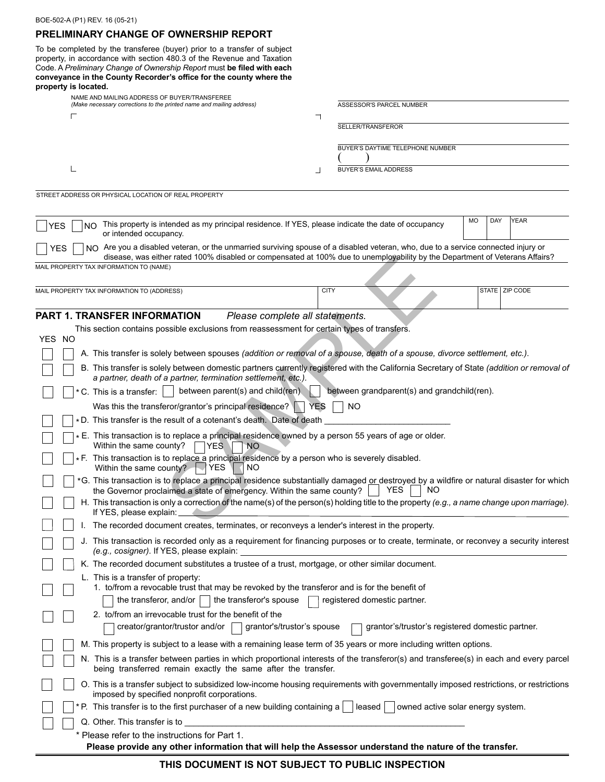# **PRELIMINARY CHANGE OF OWNERSHIP REPORT**

To be completed by the transferee (buyer) prior to a transfer of subject property, in accordance with section 480.3 of the Revenue and Taxation Code. A *Preliminary Change of Ownership Report* must **be filed with each conveyance in the County Recorder's office for the county where the property is located.**

|            | NAME AND MAILING ADDRESS OF BUYER/TRANSFEREE<br>(Make necessary corrections to the printed name and mailing address)                                                                                                                  |                          |             | ASSESSOR'S PARCEL NUMBER     |                                                  |    |     |                  |
|------------|---------------------------------------------------------------------------------------------------------------------------------------------------------------------------------------------------------------------------------------|--------------------------|-------------|------------------------------|--------------------------------------------------|----|-----|------------------|
|            |                                                                                                                                                                                                                                       |                          |             |                              |                                                  |    |     |                  |
|            |                                                                                                                                                                                                                                       |                          |             | SELLER/TRANSFEROR            |                                                  |    |     |                  |
|            |                                                                                                                                                                                                                                       |                          |             |                              | BUYER'S DAYTIME TELEPHONE NUMBER                 |    |     |                  |
|            |                                                                                                                                                                                                                                       |                          |             |                              |                                                  |    |     |                  |
|            |                                                                                                                                                                                                                                       | $\overline{\phantom{a}}$ |             | <b>BUYER'S EMAIL ADDRESS</b> |                                                  |    |     |                  |
|            | STREET ADDRESS OR PHYSICAL LOCATION OF REAL PROPERTY                                                                                                                                                                                  |                          |             |                              |                                                  |    |     |                  |
|            |                                                                                                                                                                                                                                       |                          |             |                              |                                                  |    |     |                  |
| <b>YES</b> | This property is intended as my principal residence. If YES, please indicate the date of occupancy<br>NO.<br>or intended occupancy.                                                                                                   |                          |             |                              |                                                  | MO | DAY | YEAR             |
|            | NO Are you a disabled veteran, or the unmarried surviving spouse of a disabled veteran, who, due to a service connected injury or<br>YES                                                                                              |                          |             |                              |                                                  |    |     |                  |
|            | disease, was either rated 100% disabled or compensated at 100% due to unemployability by the Department of Veterans Affairs?<br>MAIL PROPERTY TAX INFORMATION TO (NAME)                                                               |                          |             |                              |                                                  |    |     |                  |
|            |                                                                                                                                                                                                                                       |                          |             |                              |                                                  |    |     |                  |
|            | MAIL PROPERTY TAX INFORMATION TO (ADDRESS)                                                                                                                                                                                            |                          | <b>CITY</b> |                              |                                                  |    |     | STATE   ZIP CODE |
|            | <b>PART 1. TRANSFER INFORMATION</b><br>Please complete all statements.                                                                                                                                                                |                          |             |                              |                                                  |    |     |                  |
|            | This section contains possible exclusions from reassessment for certain types of transfers.                                                                                                                                           |                          |             |                              |                                                  |    |     |                  |
| YES NO     |                                                                                                                                                                                                                                       |                          |             |                              |                                                  |    |     |                  |
|            | A. This transfer is solely between spouses (addition or removal of a spouse, death of a spouse, divorce settlement, etc.).                                                                                                            |                          |             |                              |                                                  |    |     |                  |
|            | B. This transfer is solely between domestic partners currently registered with the California Secretary of State (addition or removal of<br>a partner, death of a partner, termination settlement, etc.).                             |                          |             |                              |                                                  |    |     |                  |
|            | between parent(s) and child(ren)<br>* C. This is a transfer:                                                                                                                                                                          |                          |             |                              | between grandparent(s) and grandchild(ren).      |    |     |                  |
|            | Was this the transferor/grantor's principal residence?                                                                                                                                                                                | <b>YES</b>               | <b>NO</b>   |                              |                                                  |    |     |                  |
|            | *D. This transfer is the result of a cotenant's death. Date of death                                                                                                                                                                  |                          |             |                              |                                                  |    |     |                  |
|            | * E. This transaction is to replace a principal residence owned by a person 55 years of age or older.<br>Within the same county?<br>YES.<br><b>NO</b>                                                                                 |                          |             |                              |                                                  |    |     |                  |
|            | * F. This transaction is to replace a principal residence by a person who is severely disabled.<br>NO<br>YES.<br>Within the same county?                                                                                              |                          |             |                              |                                                  |    |     |                  |
|            | *G. This transaction is to replace a principal residence substantially damaged or destroyed by a wildfire or natural disaster for which<br>the Governor proclaimed a state of emergency. Within the same county?<br><b>YES</b><br>NO. |                          |             |                              |                                                  |    |     |                  |
|            | H. This transaction is only a correction of the name(s) of the person(s) holding title to the property (e.g., a name change upon marriage).<br>If YES, please explain:                                                                |                          |             |                              |                                                  |    |     |                  |
|            | I. The recorded document creates, terminates, or reconveys a lender's interest in the property.                                                                                                                                       |                          |             |                              |                                                  |    |     |                  |
|            | J. This transaction is recorded only as a requirement for financing purposes or to create, terminate, or reconvey a security interest<br>(e.g., cosigner). If YES, please explain:                                                    |                          |             |                              |                                                  |    |     |                  |
|            | K. The recorded document substitutes a trustee of a trust, mortgage, or other similar document.                                                                                                                                       |                          |             |                              |                                                  |    |     |                  |
|            | L. This is a transfer of property:                                                                                                                                                                                                    |                          |             |                              |                                                  |    |     |                  |
|            | 1. to/from a revocable trust that may be revoked by the transferor and is for the benefit of<br>the transferor, and/or $\vert \ \vert$ the transferor's spouse                                                                        |                          |             | registered domestic partner. |                                                  |    |     |                  |
|            | 2. to/from an irrevocable trust for the benefit of the                                                                                                                                                                                |                          |             |                              |                                                  |    |     |                  |
|            | creator/grantor/trustor and/or<br>grantor's/trustor's spouse                                                                                                                                                                          |                          |             |                              | grantor's/trustor's registered domestic partner. |    |     |                  |
|            | M. This property is subject to a lease with a remaining lease term of 35 years or more including written options.                                                                                                                     |                          |             |                              |                                                  |    |     |                  |
|            | N. This is a transfer between parties in which proportional interests of the transferor(s) and transferee(s) in each and every parcel                                                                                                 |                          |             |                              |                                                  |    |     |                  |
|            | being transferred remain exactly the same after the transfer.                                                                                                                                                                         |                          |             |                              |                                                  |    |     |                  |
|            | O. This is a transfer subject to subsidized low-income housing requirements with governmentally imposed restrictions, or restrictions<br>imposed by specified nonprofit corporations.                                                 |                          |             |                              |                                                  |    |     |                  |
|            | * P. This transfer is to the first purchaser of a new building containing a $ $   leased $ $                                                                                                                                          |                          |             |                              | owned active solar energy system.                |    |     |                  |
|            | Q. Other. This transfer is to                                                                                                                                                                                                         |                          |             |                              |                                                  |    |     |                  |
|            | * Please refer to the instructions for Part 1.                                                                                                                                                                                        |                          |             |                              |                                                  |    |     |                  |
|            | Please provide any other information that will help the Assessor understand the nature of the transfer.                                                                                                                               |                          |             |                              |                                                  |    |     |                  |

# **THIS DOCUMENT IS NOT SUBJECT TO PUBLIC INSPECTION**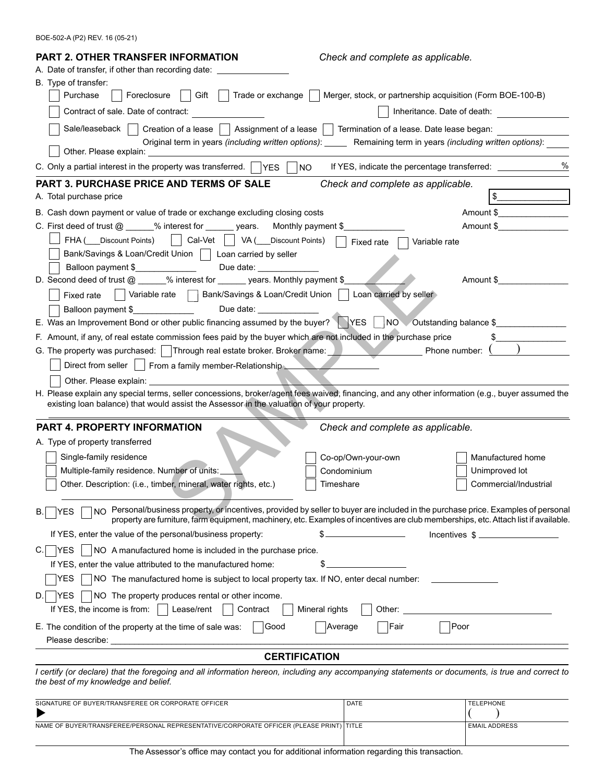| <b>PART 2. OTHER TRANSFER INFORMATION</b>                                                                                                                                                                                                                          | Check and complete as applicable.                                                |                             |  |  |  |  |  |  |  |
|--------------------------------------------------------------------------------------------------------------------------------------------------------------------------------------------------------------------------------------------------------------------|----------------------------------------------------------------------------------|-----------------------------|--|--|--|--|--|--|--|
| A. Date of transfer, if other than recording date: ____                                                                                                                                                                                                            |                                                                                  |                             |  |  |  |  |  |  |  |
| B. Type of transfer:                                                                                                                                                                                                                                               |                                                                                  |                             |  |  |  |  |  |  |  |
| Gift  <br>Purchase<br>Foreclosure                                                                                                                                                                                                                                  | Trade or exchange     Merger, stock, or partnership acquisition (Form BOE-100-B) |                             |  |  |  |  |  |  |  |
| Contract of sale. Date of contract:                                                                                                                                                                                                                                |                                                                                  | Inheritance. Date of death: |  |  |  |  |  |  |  |
| Sale/leaseback<br>Creation of a lease $\vert \ \vert$                                                                                                                                                                                                              | Assignment of a lease $\vert \ \vert$ Termination of a lease. Date lease began:  |                             |  |  |  |  |  |  |  |
| Original term in years (including written options): ______ Remaining term in years (including written options):<br>Other. Please explain: _                                                                                                                        |                                                                                  |                             |  |  |  |  |  |  |  |
| C. Only a partial interest in the property was transferred. $\Box$ YES $\Box$<br>$N$ O                                                                                                                                                                             | If YES, indicate the percentage transferred: ______________                      | $\%$                        |  |  |  |  |  |  |  |
| PART 3. PURCHASE PRICE AND TERMS OF SALE                                                                                                                                                                                                                           | Check and complete as applicable.                                                |                             |  |  |  |  |  |  |  |
| A. Total purchase price                                                                                                                                                                                                                                            |                                                                                  | \$                          |  |  |  |  |  |  |  |
| B. Cash down payment or value of trade or exchange excluding closing costs                                                                                                                                                                                         |                                                                                  |                             |  |  |  |  |  |  |  |
| C. First deed of trust $@ \_\_\_\%$ interest for $@ \_\_\_$ years.<br>Monthly payment \$                                                                                                                                                                           |                                                                                  | Amount \$                   |  |  |  |  |  |  |  |
| FHA ( Discount Points)     Cal-Vet  <br>$ $ VA(<br>Discount Points)                                                                                                                                                                                                |                                                                                  |                             |  |  |  |  |  |  |  |
| Variable rate<br>Fixed rate<br>Bank/Savings & Loan/Credit Union   Loan carried by seller                                                                                                                                                                           |                                                                                  |                             |  |  |  |  |  |  |  |
| Balloon payment \$<br>Due date: <u>_______________</u>                                                                                                                                                                                                             |                                                                                  |                             |  |  |  |  |  |  |  |
| D. Second deed of trust @ _____% interest for ______ years. Monthly payment \$_                                                                                                                                                                                    |                                                                                  | Amount \$                   |  |  |  |  |  |  |  |
| Variable rate   Bank/Savings & Loan/Credit Union   Loan carried by seller<br>Fixed rate                                                                                                                                                                            |                                                                                  |                             |  |  |  |  |  |  |  |
| Balloon payment \$<br>Due date: _____________                                                                                                                                                                                                                      |                                                                                  |                             |  |  |  |  |  |  |  |
| E. Was an Improvement Bond or other public financing assumed by the buyer? VES                                                                                                                                                                                     |                                                                                  | NO Outstanding balance \$   |  |  |  |  |  |  |  |
| F. Amount, if any, of real estate commission fees paid by the buyer which are not included in the purchase price                                                                                                                                                   |                                                                                  |                             |  |  |  |  |  |  |  |
| G. The property was purchased: Through real estate broker. Broker name: New York Mone number: (                                                                                                                                                                    |                                                                                  |                             |  |  |  |  |  |  |  |
| Direct from seller     From a family member-Relationship                                                                                                                                                                                                           |                                                                                  |                             |  |  |  |  |  |  |  |
|                                                                                                                                                                                                                                                                    |                                                                                  |                             |  |  |  |  |  |  |  |
| Other. Please explain: example of the state of the state of the state of the state of the state of the state o<br>H. Please explain any special terms, seller concessions, broker/agent fees waived, financing, and any other information (e.g., buyer assumed the |                                                                                  |                             |  |  |  |  |  |  |  |
| existing loan balance) that would assist the Assessor in the valuation of your property.                                                                                                                                                                           |                                                                                  |                             |  |  |  |  |  |  |  |
| PART 4. PROPERTY INFORMATION                                                                                                                                                                                                                                       | Check and complete as applicable.                                                |                             |  |  |  |  |  |  |  |
| A. Type of property transferred                                                                                                                                                                                                                                    |                                                                                  |                             |  |  |  |  |  |  |  |
| Single-family residence                                                                                                                                                                                                                                            | Co-op/Own-your-own                                                               | Manufactured home           |  |  |  |  |  |  |  |
| Multiple-family residence. Number of units:                                                                                                                                                                                                                        | Condominium                                                                      | Unimproved lot              |  |  |  |  |  |  |  |
| Other. Description: (i.e., timber, mineral, water rights, etc.)                                                                                                                                                                                                    | Timeshare                                                                        | Commercial/Industrial       |  |  |  |  |  |  |  |
|                                                                                                                                                                                                                                                                    |                                                                                  |                             |  |  |  |  |  |  |  |
| NO Personal/business property, or incentives, provided by seller to buyer are included in the purchase price. Examples of personal<br>YES<br>В.                                                                                                                    |                                                                                  |                             |  |  |  |  |  |  |  |
| property are furniture, farm equipment, machinery, etc. Examples of incentives are club memberships, etc. Attach list if available.                                                                                                                                |                                                                                  |                             |  |  |  |  |  |  |  |
| If YES, enter the value of the personal/business property:                                                                                                                                                                                                         | <u> 1990 - Johann Barbara, martin a</u><br>\$                                    | Incentives $\frac{1}{2}$    |  |  |  |  |  |  |  |
| NO A manufactured home is included in the purchase price.<br><b>IYES</b>                                                                                                                                                                                           |                                                                                  |                             |  |  |  |  |  |  |  |
| If YES, enter the value attributed to the manufactured home:                                                                                                                                                                                                       | \$                                                                               |                             |  |  |  |  |  |  |  |
| YES<br>NO The manufactured home is subject to local property tax. If NO, enter decal number:                                                                                                                                                                       |                                                                                  |                             |  |  |  |  |  |  |  |
| NO The property produces rental or other income.<br> YES                                                                                                                                                                                                           |                                                                                  |                             |  |  |  |  |  |  |  |
| Lease/rent<br>Contract<br>If YES, the income is from:<br>$\mathcal{L}$                                                                                                                                                                                             | Mineral rights<br>Other:                                                         |                             |  |  |  |  |  |  |  |
| E. The condition of the property at the time of sale was:<br>Good                                                                                                                                                                                                  | Poor<br>Average<br>Fair                                                          |                             |  |  |  |  |  |  |  |
|                                                                                                                                                                                                                                                                    |                                                                                  |                             |  |  |  |  |  |  |  |
| <b>CERTIFICATION</b>                                                                                                                                                                                                                                               |                                                                                  |                             |  |  |  |  |  |  |  |
| I certify (or declare) that the foregoing and all information hereon, including any accompanying statements or documents, is true and correct to<br>the best of my knowledge and belief.                                                                           |                                                                                  |                             |  |  |  |  |  |  |  |
|                                                                                                                                                                                                                                                                    |                                                                                  |                             |  |  |  |  |  |  |  |
| SIGNATURE OF BUYER/TRANSFEREE OR CORPORATE OFFICER                                                                                                                                                                                                                 | DATE                                                                             | <b>TELEPHONE</b>            |  |  |  |  |  |  |  |

| The Assessor's office may contact you for additional information regarding this transaction. |  |  |
|----------------------------------------------------------------------------------------------|--|--|
|                                                                                              |  |  |

NAME OF BUYER/TRANSFEREE/PERSONAL REPRESENTATIVE/CORPORATE OFFICER (PLEASE PRINT) TITLE EMAIL ADDRESS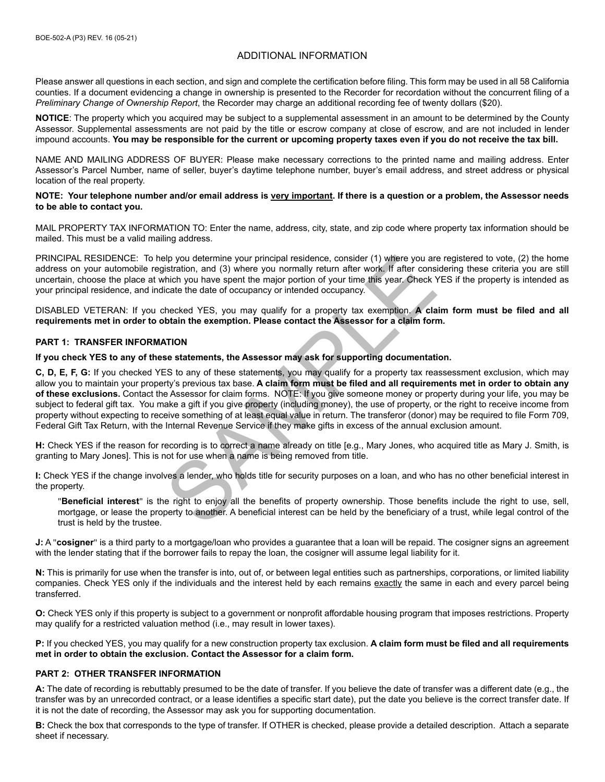# ADDITIONAL INFORMATION

Please answer all questions in each section, and sign and complete the certification before filing. This form may be used in all 58 California counties. If a document evidencing a change in ownership is presented to the Recorder for recordation without the concurrent filing of a *Preliminary Change of Ownership Report*, the Recorder may charge an additional recording fee of twenty dollars (\$20).

**NOTICE**: The property which you acquired may be subject to a supplemental assessment in an amount to be determined by the County Assessor. Supplemental assessments are not paid by the title or escrow company at close of escrow, and are not included in lender impound accounts. **You may be responsible for the current or upcoming property taxes even if you do not receive the tax bill.**

NAME AND MAILING ADDRESS OF BUYER: Please make necessary corrections to the printed name and mailing address. Enter Assessor's Parcel Number, name of seller, buyer's daytime telephone number, buyer's email address, and street address or physical location of the real property.

#### **NOTE: Your telephone number and/or email address is very important. If there is a question or a problem, the Assessor needs to be able to contact you.**

MAIL PROPERTY TAX INFORMATION TO: Enter the name, address, city, state, and zip code where property tax information should be mailed. This must be a valid mailing address.

PRINCIPAL RESIDENCE: To help you determine your principal residence, consider (1) where you are registered to vote, (2) the home address on your automobile registration, and (3) where you normally return after work. If after considering these criteria you are still uncertain, choose the place at which you have spent the major portion of your time this year. Check YES if the property is intended as your principal residence, and indicate the date of occupancy or intended occupancy.

DISABLED VETERAN: If you checked YES, you may qualify for a property tax exemption. **A claim form must be filed and all requirements met in order to obtain the exemption. Please contact the Assessor for a claim form.**

#### **PART 1: TRANSFER INFORMATION**

**If you check YES to any of these statements, the Assessor may ask for supporting documentation.**

slip you determine your principal residence, consider (1) where you are<br>istration, and (3) where you normally return after work. If after consider<br>thich you have spent the major portion of your time this year. Check Y<br>ciat **C, D, E, F, G:** If you checked YES to any of these statements, you may qualify for a property tax reassessment exclusion, which may allow you to maintain your property's previous tax base. **A claim form must be filed and all requirements met in order to obtain any of these exclusions.** Contact the Assessor for claim forms. NOTE: If you give someone money or property during your life, you may be subject to federal gift tax. You make a gift if you give property (including money), the use of property, or the right to receive income from property without expecting to receive something of at least equal value in return. The transferor (donor) may be required to file Form 709, Federal Gift Tax Return, with the Internal Revenue Service if they make gifts in excess of the annual exclusion amount.

**H:** Check YES if the reason for recording is to correct a name already on title [e.g., Mary Jones, who acquired title as Mary J. Smith, is granting to Mary Jones]. This is not for use when a name is being removed from title.

**I:** Check YES if the change involves a lender, who holds title for security purposes on a loan, and who has no other beneficial interest in the property.

"**Beneficial interest**" is the right to enjoy all the benefits of property ownership. Those benefits include the right to use, sell, mortgage, or lease the property to another. A beneficial interest can be held by the beneficiary of a trust, while legal control of the trust is held by the trustee.

**J:** A "**cosigner**" is a third party to a mortgage/loan who provides a guarantee that a loan will be repaid. The cosigner signs an agreement with the lender stating that if the borrower fails to repay the loan, the cosigner will assume legal liability for it.

**N:** This is primarily for use when the transfer is into, out of, or between legal entities such as partnerships, corporations, or limited liability companies. Check YES only if the individuals and the interest held by each remains exactly the same in each and every parcel being transferred.

**O:** Check YES only if this property is subject to a government or nonprofit affordable housing program that imposes restrictions. Property may qualify for a restricted valuation method (i.e., may result in lower taxes).

**P:** If you checked YES, you may qualify for a new construction property tax exclusion. **A claim form must be filed and all requirements met in order to obtain the exclusion. Contact the Assessor for a claim form.**

### **PART 2: OTHER TRANSFER INFORMATION**

**A:** The date of recording is rebuttably presumed to be the date of transfer. If you believe the date of transfer was a different date (e.g., the transfer was by an unrecorded contract, or a lease identifies a specific start date), put the date you believe is the correct transfer date. If it is not the date of recording, the Assessor may ask you for supporting documentation.

**B:** Check the box that corresponds to the type of transfer. If OTHER is checked, please provide a detailed description. Attach a separate sheet if necessary.